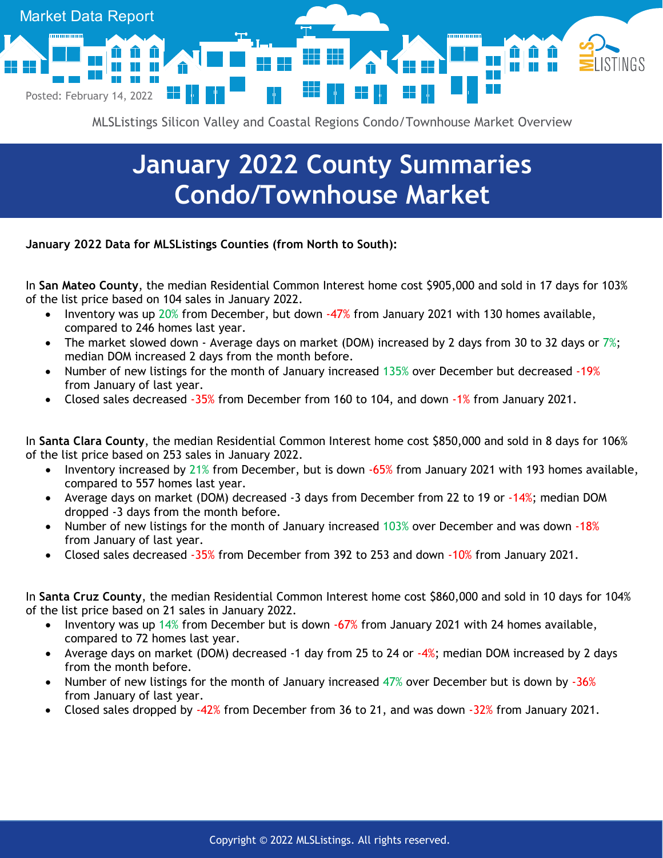

MLSListings Silicon Valley and Coastal Regions Condo/Townhouse Market Overview

## **January 2022 County Summaries Condo/Townhouse Market**

**January 2022 Data for MLSListings Counties (from North to South):**

In **San Mateo County**, the median Residential Common Interest home cost \$905,000 and sold in 17 days for 103% of the list price based on 104 sales in January 2022.

- Inventory was up 20% from December, but down -47% from January 2021 with 130 homes available, compared to 246 homes last year.
- The market slowed down Average days on market (DOM) increased by 2 days from 30 to 32 days or  $7\%$ ; median DOM increased 2 days from the month before.
- Number of new listings for the month of January increased 135% over December but decreased -19% from January of last year.
- Closed sales decreased -35% from December from 160 to 104, and down -1% from January 2021.

In **Santa Clara County**, the median Residential Common Interest home cost \$850,000 and sold in 8 days for 106% of the list price based on 253 sales in January 2022.

- Inventory increased by 21% from December, but is down  $-65%$  from January 2021 with 193 homes available, compared to 557 homes last year.
- Average days on market (DOM) decreased -3 days from December from 22 to 19 or -14%; median DOM dropped -3 days from the month before.
- Number of new listings for the month of January increased 103% over December and was down -18% from January of last year.
- Closed sales decreased -35% from December from 392 to 253 and down -10% from January 2021.

In **Santa Cruz County**, the median Residential Common Interest home cost \$860,000 and sold in 10 days for 104% of the list price based on 21 sales in January 2022.

- Inventory was up 14% from December but is down -67% from January 2021 with 24 homes available, compared to 72 homes last year.
- Average days on market (DOM) decreased -1 day from 25 to 24 or -4%; median DOM increased by 2 days from the month before.
- Number of new listings for the month of January increased 47% over December but is down by -36% from January of last year.
- Closed sales dropped by -42% from December from 36 to 21, and was down -32% from January 2021.